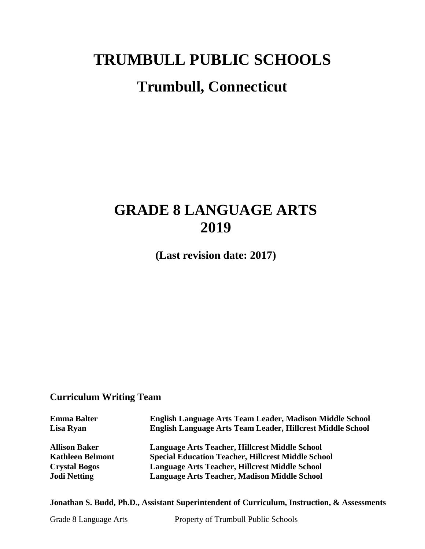# **TRUMBULL PUBLIC SCHOOLS Trumbull, Connecticut**

## **GRADE 8 LANGUAGE ARTS 2019**

**(Last revision date: 2017)**

## **Curriculum Writing Team**

| <b>Emma Balter</b>      | English Language Arts Team Leader, Madison Middle School   |
|-------------------------|------------------------------------------------------------|
| Lisa Ryan               | English Language Arts Team Leader, Hillcrest Middle School |
| <b>Allison Baker</b>    | Language Arts Teacher, Hillcrest Middle School             |
| <b>Kathleen Belmont</b> | <b>Special Education Teacher, Hillcrest Middle School</b>  |
| <b>Crystal Bogos</b>    | Language Arts Teacher, Hillcrest Middle School             |
| <b>Jodi Netting</b>     | Language Arts Teacher, Madison Middle School               |
|                         |                                                            |

**Jonathan S. Budd, Ph.D., Assistant Superintendent of Curriculum, Instruction, & Assessments**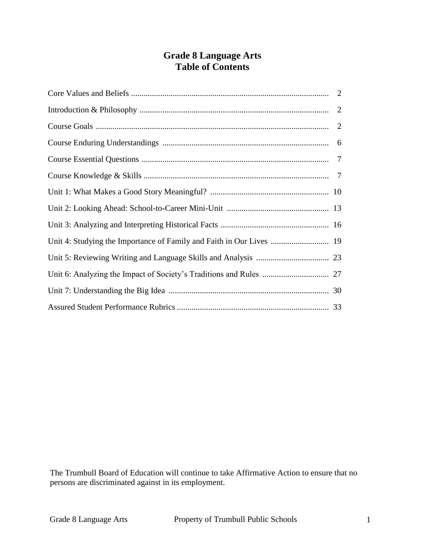## **Grade 8 Language Arts Table of Contents**

| Unit 4: Studying the Importance of Family and Faith in Our Lives  19 |  |
|----------------------------------------------------------------------|--|
|                                                                      |  |
|                                                                      |  |
|                                                                      |  |
|                                                                      |  |

The Trumbull Board of Education will continue to take Affirmative Action to ensure that no persons are discriminated against in its employment.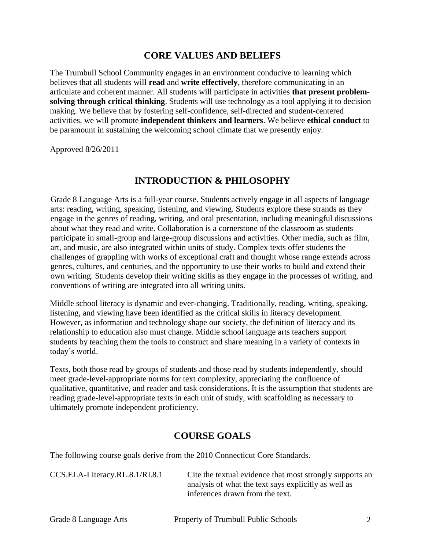## **CORE VALUES AND BELIEFS**

The Trumbull School Community engages in an environment conducive to learning which believes that all students will **read** and **write effectively**, therefore communicating in an articulate and coherent manner. All students will participate in activities **that present problemsolving through critical thinking**. Students will use technology as a tool applying it to decision making. We believe that by fostering self-confidence, self-directed and student-centered activities, we will promote **independent thinkers and learners**. We believe **ethical conduct** to be paramount in sustaining the welcoming school climate that we presently enjoy.

Approved 8/26/2011

## **INTRODUCTION & PHILOSOPHY**

Grade 8 Language Arts is a full-year course. Students actively engage in all aspects of language arts: reading, writing, speaking, listening, and viewing. Students explore these strands as they engage in the genres of reading, writing, and oral presentation, including meaningful discussions about what they read and write. Collaboration is a cornerstone of the classroom as students participate in small-group and large-group discussions and activities. Other media, such as film, art, and music, are also integrated within units of study. Complex texts offer students the challenges of grappling with works of exceptional craft and thought whose range extends across genres, cultures, and centuries, and the opportunity to use their works to build and extend their own writing. Students develop their writing skills as they engage in the processes of writing, and conventions of writing are integrated into all writing units.

Middle school literacy is dynamic and ever-changing. Traditionally, reading, writing, speaking, listening, and viewing have been identified as the critical skills in literacy development. However, as information and technology shape our society, the definition of literacy and its relationship to education also must change. Middle school language arts teachers support students by teaching them the tools to construct and share meaning in a variety of contexts in today's world.

Texts, both those read by groups of students and those read by students independently, should meet grade-level-appropriate norms for text complexity, appreciating the confluence of qualitative, quantitative, and reader and task considerations. It is the assumption that students are reading grade-level-appropriate texts in each unit of study, with scaffolding as necessary to ultimately promote independent proficiency.

## **COURSE GOALS**

The following course goals derive from the 2010 Connecticut Core Standards.

[CCS.ELA-Literacy.RL.8.1/](http://www.corestandards.org/ELA-Literacy/RL/6/1/)RI.8.1 Cite the textual evidence that most strongly supports an analysis of what the text says explicitly as well as inferences drawn from the text.

| Grade 8 Language Arts | Property of Trumbull Public Schools |  |
|-----------------------|-------------------------------------|--|
|                       |                                     |  |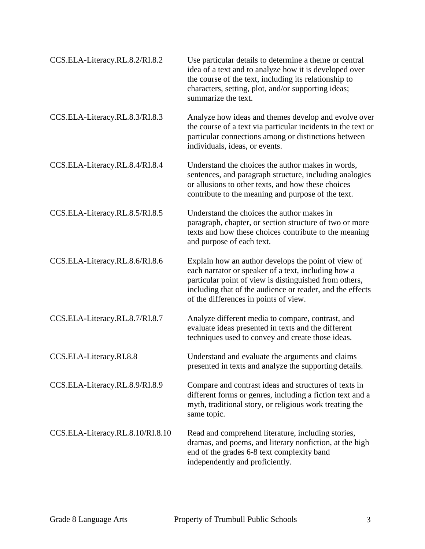| CCS.ELA-Literacy.RL.8.2/RI.8.2   | Use particular details to determine a theme or central<br>idea of a text and to analyze how it is developed over<br>the course of the text, including its relationship to<br>characters, setting, plot, and/or supporting ideas;<br>summarize the text.                    |
|----------------------------------|----------------------------------------------------------------------------------------------------------------------------------------------------------------------------------------------------------------------------------------------------------------------------|
| CCS.ELA-Literacy.RL.8.3/RI.8.3   | Analyze how ideas and themes develop and evolve over<br>the course of a text via particular incidents in the text or<br>particular connections among or distinctions between<br>individuals, ideas, or events.                                                             |
| CCS.ELA-Literacy.RL.8.4/RI.8.4   | Understand the choices the author makes in words,<br>sentences, and paragraph structure, including analogies<br>or allusions to other texts, and how these choices<br>contribute to the meaning and purpose of the text.                                                   |
| CCS.ELA-Literacy.RL.8.5/RI.8.5   | Understand the choices the author makes in<br>paragraph, chapter, or section structure of two or more<br>texts and how these choices contribute to the meaning<br>and purpose of each text.                                                                                |
| CCS.ELA-Literacy.RL.8.6/RI.8.6   | Explain how an author develops the point of view of<br>each narrator or speaker of a text, including how a<br>particular point of view is distinguished from others,<br>including that of the audience or reader, and the effects<br>of the differences in points of view. |
| CCS.ELA-Literacy.RL.8.7/RI.8.7   | Analyze different media to compare, contrast, and<br>evaluate ideas presented in texts and the different<br>techniques used to convey and create those ideas.                                                                                                              |
| CCS.ELA-Literacy.RI.8.8          | Understand and evaluate the arguments and claims<br>presented in texts and analyze the supporting details.                                                                                                                                                                 |
| CCS.ELA-Literacy.RL.8.9/RI.8.9   | Compare and contrast ideas and structures of texts in<br>different forms or genres, including a fiction text and a<br>myth, traditional story, or religious work treating the<br>same topic.                                                                               |
| CCS.ELA-Literacy.RL.8.10/RI.8.10 | Read and comprehend literature, including stories,<br>dramas, and poems, and literary nonfiction, at the high<br>end of the grades 6-8 text complexity band<br>independently and proficiently.                                                                             |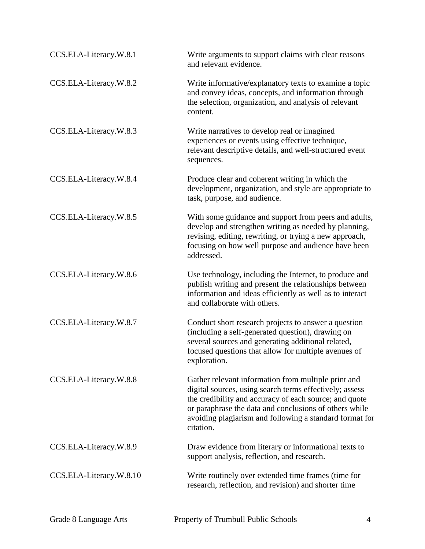| CCS.ELA-Literacy.W.8.1  | Write arguments to support claims with clear reasons<br>and relevant evidence.                                                                                                                                                                                                                             |
|-------------------------|------------------------------------------------------------------------------------------------------------------------------------------------------------------------------------------------------------------------------------------------------------------------------------------------------------|
| CCS.ELA-Literacy.W.8.2  | Write informative/explanatory texts to examine a topic<br>and convey ideas, concepts, and information through<br>the selection, organization, and analysis of relevant<br>content.                                                                                                                         |
| CCS.ELA-Literacy.W.8.3  | Write narratives to develop real or imagined<br>experiences or events using effective technique,<br>relevant descriptive details, and well-structured event<br>sequences.                                                                                                                                  |
| CCS.ELA-Literacy.W.8.4  | Produce clear and coherent writing in which the<br>development, organization, and style are appropriate to<br>task, purpose, and audience.                                                                                                                                                                 |
| CCS.ELA-Literacy.W.8.5  | With some guidance and support from peers and adults,<br>develop and strengthen writing as needed by planning,<br>revising, editing, rewriting, or trying a new approach,<br>focusing on how well purpose and audience have been<br>addressed.                                                             |
| CCS.ELA-Literacy.W.8.6  | Use technology, including the Internet, to produce and<br>publish writing and present the relationships between<br>information and ideas efficiently as well as to interact<br>and collaborate with others.                                                                                                |
| CCS.ELA-Literacy.W.8.7  | Conduct short research projects to answer a question<br>(including a self-generated question), drawing on<br>several sources and generating additional related,<br>focused questions that allow for multiple avenues of<br>exploration.                                                                    |
| CCS.ELA-Literacy.W.8.8  | Gather relevant information from multiple print and<br>digital sources, using search terms effectively; assess<br>the credibility and accuracy of each source; and quote<br>or paraphrase the data and conclusions of others while<br>avoiding plagiarism and following a standard format for<br>citation. |
| CCS.ELA-Literacy.W.8.9  | Draw evidence from literary or informational texts to<br>support analysis, reflection, and research.                                                                                                                                                                                                       |
| CCS.ELA-Literacy.W.8.10 | Write routinely over extended time frames (time for<br>research, reflection, and revision) and shorter time                                                                                                                                                                                                |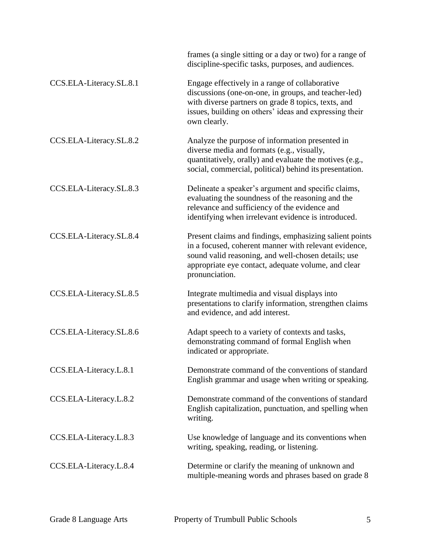|                         | frames (a single sitting or a day or two) for a range of<br>discipline-specific tasks, purposes, and audiences.                                                                                                                                  |
|-------------------------|--------------------------------------------------------------------------------------------------------------------------------------------------------------------------------------------------------------------------------------------------|
| CCS.ELA-Literacy.SL.8.1 | Engage effectively in a range of collaborative<br>discussions (one-on-one, in groups, and teacher-led)<br>with diverse partners on grade 8 topics, texts, and<br>issues, building on others' ideas and expressing their<br>own clearly.          |
| CCS.ELA-Literacy.SL.8.2 | Analyze the purpose of information presented in<br>diverse media and formats (e.g., visually,<br>quantitatively, orally) and evaluate the motives (e.g.,<br>social, commercial, political) behind its presentation.                              |
| CCS.ELA-Literacy.SL.8.3 | Delineate a speaker's argument and specific claims,<br>evaluating the soundness of the reasoning and the<br>relevance and sufficiency of the evidence and<br>identifying when irrelevant evidence is introduced.                                 |
| CCS.ELA-Literacy.SL.8.4 | Present claims and findings, emphasizing salient points<br>in a focused, coherent manner with relevant evidence,<br>sound valid reasoning, and well-chosen details; use<br>appropriate eye contact, adequate volume, and clear<br>pronunciation. |
| CCS.ELA-Literacy.SL.8.5 | Integrate multimedia and visual displays into<br>presentations to clarify information, strengthen claims<br>and evidence, and add interest.                                                                                                      |
| CCS.ELA-Literacy.SL.8.6 | Adapt speech to a variety of contexts and tasks,<br>demonstrating command of formal English when<br>indicated or appropriate.                                                                                                                    |
| CCS.ELA-Literacy.L.8.1  | Demonstrate command of the conventions of standard<br>English grammar and usage when writing or speaking.                                                                                                                                        |
| CCS.ELA-Literacy.L.8.2  | Demonstrate command of the conventions of standard<br>English capitalization, punctuation, and spelling when<br>writing.                                                                                                                         |
| CCS.ELA-Literacy.L.8.3  | Use knowledge of language and its conventions when<br>writing, speaking, reading, or listening.                                                                                                                                                  |
| CCS.ELA-Literacy.L.8.4  | Determine or clarify the meaning of unknown and<br>multiple-meaning words and phrases based on grade 8                                                                                                                                           |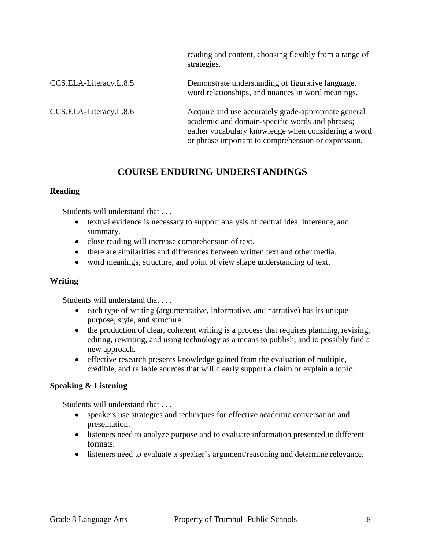|                        | reading and content, choosing flexibly from a range of<br>strategies.                                                                                                                                                 |
|------------------------|-----------------------------------------------------------------------------------------------------------------------------------------------------------------------------------------------------------------------|
| CCS.ELA-Literacy.L.8.5 | Demonstrate understanding of figurative language,<br>word relationships, and nuances in word meanings.                                                                                                                |
| CCS.ELA-Literacy.L.8.6 | Acquire and use accurately grade-appropriate general<br>academic and domain-specific words and phrases;<br>gather vocabulary knowledge when considering a word<br>or phrase important to comprehension or expression. |

## **COURSE ENDURING UNDERSTANDINGS**

#### **Reading**

Students will understand that

- textual evidence is necessary to support analysis of central idea, inference, and summary.
- close reading will increase comprehension of text.
- there are similarities and differences between written text and other media.
- word meanings, structure, and point of view shape understanding of text.

## **Writing**

Students will understand that . . .

- each type of writing (argumentative, informative, and narrative) has its unique purpose, style, and structure.
- the production of clear, coherent writing is a process that requires planning, revising, editing, rewriting, and using technology as a means to publish, and to possibly find a new approach.
- effective research presents knowledge gained from the evaluation of multiple, credible, and reliable sources that will clearly support a claim or explain a topic.

## **Speaking & Listening**

Students will understand that . . .

- speakers use strategies and techniques for effective academic conversation and presentation.
- listeners need to analyze purpose and to evaluate information presented in different formats.
- listeners need to evaluate a speaker's argument/reasoning and determine relevance.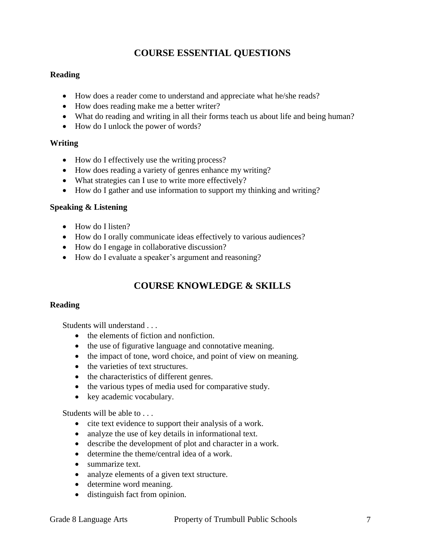## **COURSE ESSENTIAL QUESTIONS**

## **Reading**

- How does a reader come to understand and appreciate what he/she reads?
- How does reading make me a better writer?
- What do reading and writing in all their forms teach us about life and being human?
- How do I unlock the power of words?

## **Writing**

- How do I effectively use the writing process?
- How does reading a variety of genres enhance my writing?
- What strategies can I use to write more effectively?
- How do I gather and use information to support my thinking and writing?

## **Speaking & Listening**

- How do I listen?
- How do I orally communicate ideas effectively to various audiences?
- How do I engage in collaborative discussion?
- How do I evaluate a speaker's argument and reasoning?

## **COURSE KNOWLEDGE & SKILLS**

## **Reading**

Students will understand

- the elements of fiction and nonfiction.
- the use of figurative language and connotative meaning.
- the impact of tone, word choice, and point of view on meaning.
- the varieties of text structures.
- the characteristics of different genres.
- the various types of media used for comparative study.
- key academic vocabulary.

Students will be able to . . .

- cite text evidence to support their analysis of a work.
- analyze the use of key details in informational text.
- describe the development of plot and character in a work.
- determine the theme/central idea of a work.
- summarize text.
- analyze elements of a given text structure.
- determine word meaning.
- distinguish fact from opinion.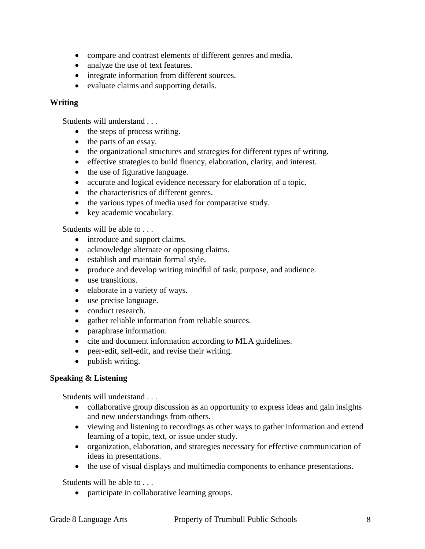- compare and contrast elements of different genres and media.
- analyze the use of text features.
- integrate information from different sources.
- evaluate claims and supporting details.

#### **Writing**

Students will understand . . .

- the steps of process writing.
- the parts of an essay.
- the organizational structures and strategies for different types of writing.
- effective strategies to build fluency, elaboration, clarity, and interest.
- the use of figurative language.
- accurate and logical evidence necessary for elaboration of a topic.
- the characteristics of different genres.
- the various types of media used for comparative study.
- key academic vocabulary.

Students will be able to . . .

- introduce and support claims.
- acknowledge alternate or opposing claims.
- establish and maintain formal style.
- produce and develop writing mindful of task, purpose, and audience.
- use transitions.
- elaborate in a variety of ways.
- use precise language.
- conduct research.
- gather reliable information from reliable sources.
- paraphrase information.
- cite and document information according to MLA guidelines.
- peer-edit, self-edit, and revise their writing.
- publish writing.

#### **Speaking & Listening**

Students will understand . . .

- collaborative group discussion as an opportunity to express ideas and gain insights and new understandings from others.
- viewing and listening to recordings as other ways to gather information and extend learning of a topic, text, or issue under study.
- organization, elaboration, and strategies necessary for effective communication of ideas in presentations.
- the use of visual displays and multimedia components to enhance presentations.

Students will be able to . . .

• participate in collaborative learning groups.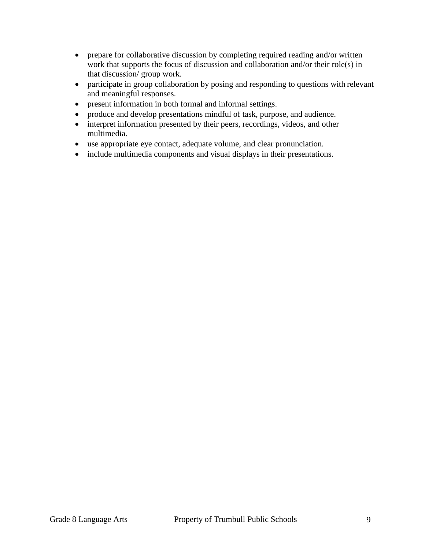- prepare for collaborative discussion by completing required reading and/or written work that supports the focus of discussion and collaboration and/or their role(s) in that discussion/ group work.
- participate in group collaboration by posing and responding to questions with relevant and meaningful responses.
- present information in both formal and informal settings.
- produce and develop presentations mindful of task, purpose, and audience.
- interpret information presented by their peers, recordings, videos, and other multimedia.
- use appropriate eye contact, adequate volume, and clear pronunciation.
- include multimedia components and visual displays in their presentations.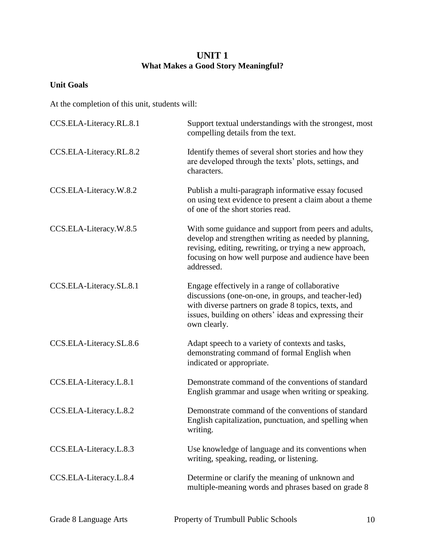## **UNIT 1 What Makes a Good Story Meaningful?**

## **Unit Goals**

| CCS.ELA-Literacy.RL.8.1 | Support textual understandings with the strongest, most<br>compelling details from the text.                                                                                                                                                   |
|-------------------------|------------------------------------------------------------------------------------------------------------------------------------------------------------------------------------------------------------------------------------------------|
| CCS.ELA-Literacy.RL.8.2 | Identify themes of several short stories and how they<br>are developed through the texts' plots, settings, and<br>characters.                                                                                                                  |
| CCS.ELA-Literacy.W.8.2  | Publish a multi-paragraph informative essay focused<br>on using text evidence to present a claim about a theme<br>of one of the short stories read.                                                                                            |
| CCS.ELA-Literacy.W.8.5  | With some guidance and support from peers and adults,<br>develop and strengthen writing as needed by planning,<br>revising, editing, rewriting, or trying a new approach,<br>focusing on how well purpose and audience have been<br>addressed. |
| CCS.ELA-Literacy.SL.8.1 | Engage effectively in a range of collaborative<br>discussions (one-on-one, in groups, and teacher-led)<br>with diverse partners on grade 8 topics, texts, and<br>issues, building on others' ideas and expressing their<br>own clearly.        |
| CCS.ELA-Literacy.SL.8.6 | Adapt speech to a variety of contexts and tasks,<br>demonstrating command of formal English when<br>indicated or appropriate.                                                                                                                  |
| CCS.ELA-Literacy.L.8.1  | Demonstrate command of the conventions of standard<br>English grammar and usage when writing or speaking.                                                                                                                                      |
| CCS.ELA-Literacy.L.8.2  | Demonstrate command of the conventions of standard<br>English capitalization, punctuation, and spelling when<br>writing.                                                                                                                       |
| CCS.ELA-Literacy.L.8.3  | Use knowledge of language and its conventions when<br>writing, speaking, reading, or listening.                                                                                                                                                |
| CCS.ELA-Literacy.L.8.4  | Determine or clarify the meaning of unknown and<br>multiple-meaning words and phrases based on grade 8                                                                                                                                         |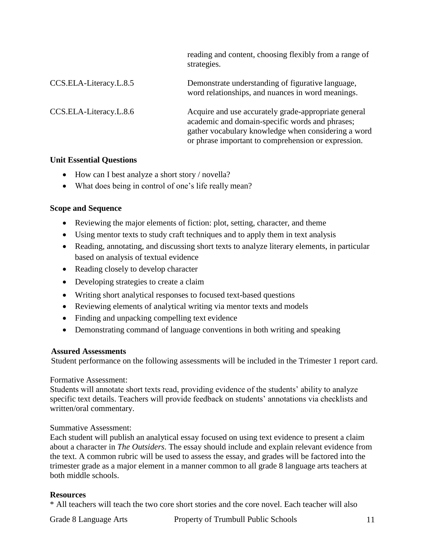|                        | reading and content, choosing flexibly from a range of<br>strategies.                                                                                                                                                 |
|------------------------|-----------------------------------------------------------------------------------------------------------------------------------------------------------------------------------------------------------------------|
| CCS.ELA-Literacy.L.8.5 | Demonstrate understanding of figurative language,<br>word relationships, and nuances in word meanings.                                                                                                                |
| CCS.ELA-Literacy.L.8.6 | Acquire and use accurately grade-appropriate general<br>academic and domain-specific words and phrases;<br>gather vocabulary knowledge when considering a word<br>or phrase important to comprehension or expression. |

#### **Unit Essential Questions**

- How can I best analyze a short story / novella?
- What does being in control of one's life really mean?

## **Scope and Sequence**

- Reviewing the major elements of fiction: plot, setting, character, and theme
- Using mentor texts to study craft techniques and to apply them in text analysis
- Reading, annotating, and discussing short texts to analyze literary elements, in particular based on analysis of textual evidence
- Reading closely to develop character
- Developing strategies to create a claim
- Writing short analytical responses to focused text-based questions
- Reviewing elements of analytical writing via mentor texts and models
- Finding and unpacking compelling text evidence
- Demonstrating command of language conventions in both writing and speaking

## **Assured Assessments**

Student performance on the following assessments will be included in the Trimester 1 report card.

#### Formative Assessment:

Students will annotate short texts read, providing evidence of the students' ability to analyze specific text details. Teachers will provide feedback on students' annotations via checklists and written/oral commentary.

## Summative Assessment:

Each student will publish an analytical essay focused on using text evidence to present a claim about a character in *The Outsiders*. The essay should include and explain relevant evidence from the text. A common rubric will be used to assess the essay, and grades will be factored into the trimester grade as a major element in a manner common to all grade 8 language arts teachers at both middle schools.

## **Resources**

\* All teachers will teach the two core short stories and the core novel. Each teacher will also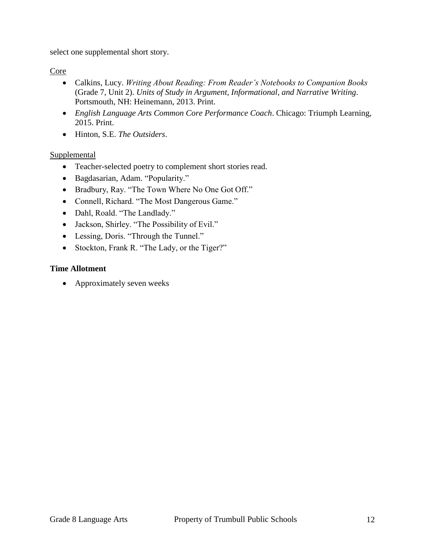select one supplemental short story.

## Core

- Calkins, Lucy. *Writing About Reading: From Reader's Notebooks to Companion Books* (Grade 7, Unit 2). *Units of Study in Argument, Informational, and Narrative Writing*. Portsmouth, NH: Heinemann, 2013. Print.
- *English Language Arts Common Core Performance Coach*. Chicago: Triumph Learning, 2015. Print.
- Hinton, S.E. *The Outsiders*.

## Supplemental

- Teacher-selected poetry to complement short stories read.
- Bagdasarian, Adam. "Popularity."
- Bradbury, Ray. "The Town Where No One Got Off."
- Connell, Richard. "The Most Dangerous Game."
- Dahl, Roald. "The Landlady."
- Jackson, Shirley. "The Possibility of Evil."
- Lessing, Doris. "Through the Tunnel."
- Stockton, Frank R. "The Lady, or the Tiger?"

## **Time Allotment**

• Approximately seven weeks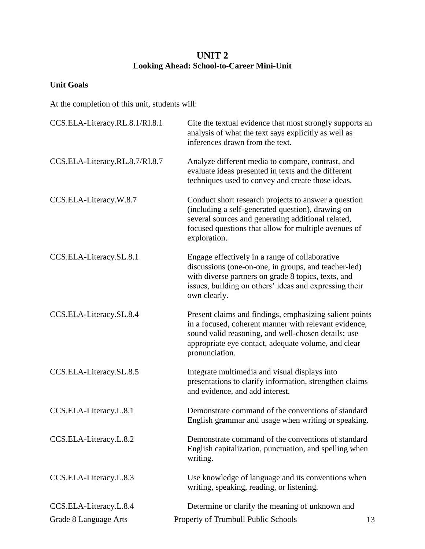## **UNIT 2 Looking Ahead: School-to-Career Mini-Unit**

## **Unit Goals**

| CCS.ELA-Literacy.RL.8.1/RI.8.1 | Cite the textual evidence that most strongly supports an<br>analysis of what the text says explicitly as well as<br>inferences drawn from the text.                                                                                              |
|--------------------------------|--------------------------------------------------------------------------------------------------------------------------------------------------------------------------------------------------------------------------------------------------|
| CCS.ELA-Literacy.RL.8.7/RI.8.7 | Analyze different media to compare, contrast, and<br>evaluate ideas presented in texts and the different<br>techniques used to convey and create those ideas.                                                                                    |
| CCS.ELA-Literacy.W.8.7         | Conduct short research projects to answer a question<br>(including a self-generated question), drawing on<br>several sources and generating additional related,<br>focused questions that allow for multiple avenues of<br>exploration.          |
| CCS.ELA-Literacy.SL.8.1        | Engage effectively in a range of collaborative<br>discussions (one-on-one, in groups, and teacher-led)<br>with diverse partners on grade 8 topics, texts, and<br>issues, building on others' ideas and expressing their<br>own clearly.          |
| CCS.ELA-Literacy.SL.8.4        | Present claims and findings, emphasizing salient points<br>in a focused, coherent manner with relevant evidence,<br>sound valid reasoning, and well-chosen details; use<br>appropriate eye contact, adequate volume, and clear<br>pronunciation. |
| CCS.ELA-Literacy.SL.8.5        | Integrate multimedia and visual displays into<br>presentations to clarify information, strengthen claims<br>and evidence, and add interest.                                                                                                      |
| CCS.ELA-Literacy.L.8.1         | Demonstrate command of the conventions of standard<br>English grammar and usage when writing or speaking.                                                                                                                                        |
| CCS.ELA-Literacy.L.8.2         | Demonstrate command of the conventions of standard<br>English capitalization, punctuation, and spelling when<br>writing.                                                                                                                         |
| CCS.ELA-Literacy.L.8.3         | Use knowledge of language and its conventions when<br>writing, speaking, reading, or listening.                                                                                                                                                  |
| CCS.ELA-Literacy.L.8.4         | Determine or clarify the meaning of unknown and                                                                                                                                                                                                  |
| Grade 8 Language Arts          | Property of Trumbull Public Schools<br>13                                                                                                                                                                                                        |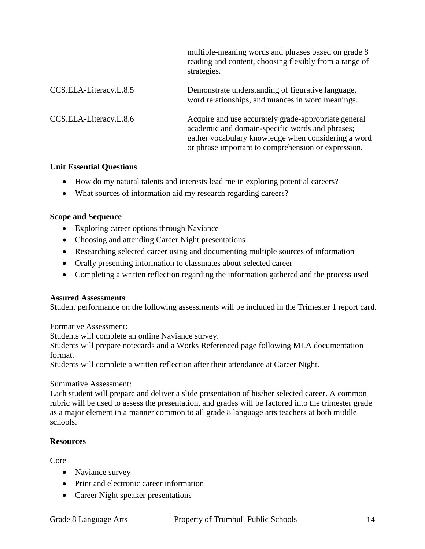|                        | multiple-meaning words and phrases based on grade 8<br>reading and content, choosing flexibly from a range of<br>strategies.                                                                                          |
|------------------------|-----------------------------------------------------------------------------------------------------------------------------------------------------------------------------------------------------------------------|
| CCS.ELA-Literacy.L.8.5 | Demonstrate understanding of figurative language,<br>word relationships, and nuances in word meanings.                                                                                                                |
| CCS.ELA-Literacy.L.8.6 | Acquire and use accurately grade-appropriate general<br>academic and domain-specific words and phrases;<br>gather vocabulary knowledge when considering a word<br>or phrase important to comprehension or expression. |

#### **Unit Essential Questions**

- How do my natural talents and interests lead me in exploring potential careers?
- What sources of information aid my research regarding careers?

#### **Scope and Sequence**

- Exploring career options through Naviance
- Choosing and attending Career Night presentations
- Researching selected career using and documenting multiple sources of information
- Orally presenting information to classmates about selected career
- Completing a written reflection regarding the information gathered and the process used

#### **Assured Assessments**

Student performance on the following assessments will be included in the Trimester 1 report card.

Formative Assessment:

Students will complete an online Naviance survey.

Students will prepare notecards and a Works Referenced page following MLA documentation format.

Students will complete a written reflection after their attendance at Career Night.

#### Summative Assessment:

Each student will prepare and deliver a slide presentation of his/her selected career. A common rubric will be used to assess the presentation, and grades will be factored into the trimester grade as a major element in a manner common to all grade 8 language arts teachers at both middle schools.

## **Resources**

Core

- Naviance survey
- Print and electronic career information
- Career Night speaker presentations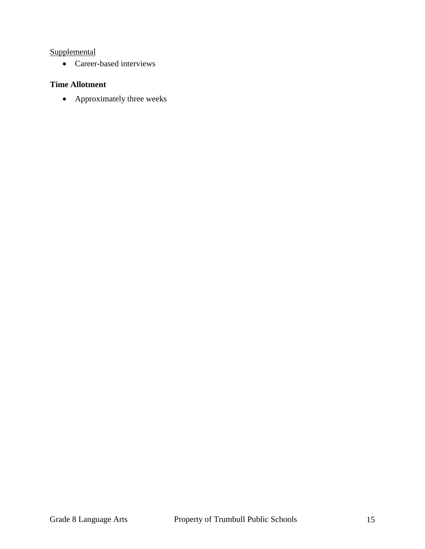## **Supplemental**

• Career-based interviews

## **Time Allotment**

• Approximately three weeks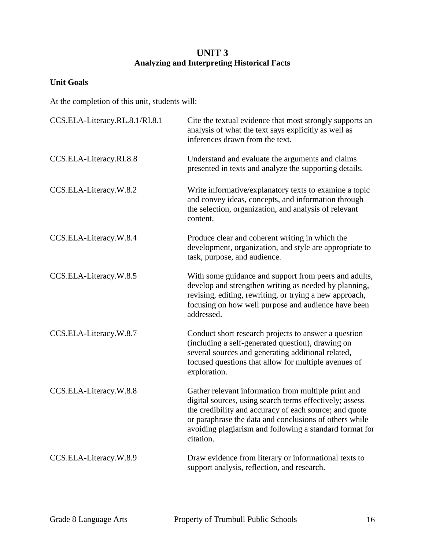## **UNIT 3 Analyzing and Interpreting Historical Facts**

## **Unit Goals**

| CCS.ELA-Literacy.RL.8.1/RI.8.1 | Cite the textual evidence that most strongly supports an<br>analysis of what the text says explicitly as well as<br>inferences drawn from the text.                                                                                                                                                        |
|--------------------------------|------------------------------------------------------------------------------------------------------------------------------------------------------------------------------------------------------------------------------------------------------------------------------------------------------------|
| CCS.ELA-Literacy.RI.8.8        | Understand and evaluate the arguments and claims<br>presented in texts and analyze the supporting details.                                                                                                                                                                                                 |
| CCS.ELA-Literacy.W.8.2         | Write informative/explanatory texts to examine a topic<br>and convey ideas, concepts, and information through<br>the selection, organization, and analysis of relevant<br>content.                                                                                                                         |
| CCS.ELA-Literacy.W.8.4         | Produce clear and coherent writing in which the<br>development, organization, and style are appropriate to<br>task, purpose, and audience.                                                                                                                                                                 |
| CCS.ELA-Literacy.W.8.5         | With some guidance and support from peers and adults,<br>develop and strengthen writing as needed by planning,<br>revising, editing, rewriting, or trying a new approach,<br>focusing on how well purpose and audience have been<br>addressed.                                                             |
| CCS.ELA-Literacy.W.8.7         | Conduct short research projects to answer a question<br>(including a self-generated question), drawing on<br>several sources and generating additional related,<br>focused questions that allow for multiple avenues of<br>exploration.                                                                    |
| CCS.ELA-Literacy.W.8.8         | Gather relevant information from multiple print and<br>digital sources, using search terms effectively; assess<br>the credibility and accuracy of each source; and quote<br>or paraphrase the data and conclusions of others while<br>avoiding plagiarism and following a standard format for<br>citation. |
| CCS.ELA-Literacy.W.8.9         | Draw evidence from literary or informational texts to<br>support analysis, reflection, and research.                                                                                                                                                                                                       |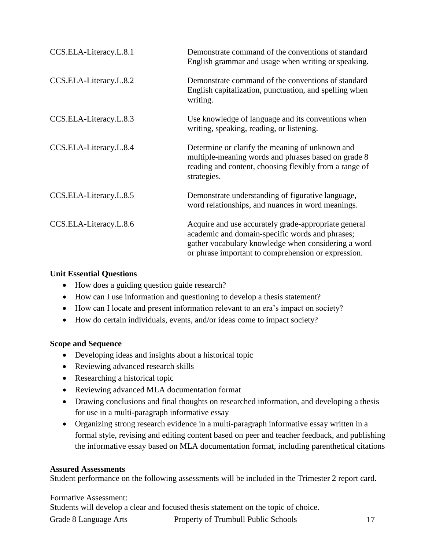| CCS.ELA-Literacy.L.8.1 | Demonstrate command of the conventions of standard<br>English grammar and usage when writing or speaking.                                                                                                             |
|------------------------|-----------------------------------------------------------------------------------------------------------------------------------------------------------------------------------------------------------------------|
| CCS.ELA-Literacy.L.8.2 | Demonstrate command of the conventions of standard<br>English capitalization, punctuation, and spelling when<br>writing.                                                                                              |
| CCS.ELA-Literacy.L.8.3 | Use knowledge of language and its conventions when<br>writing, speaking, reading, or listening.                                                                                                                       |
| CCS.ELA-Literacy.L.8.4 | Determine or clarify the meaning of unknown and<br>multiple-meaning words and phrases based on grade 8<br>reading and content, choosing flexibly from a range of<br>strategies.                                       |
| CCS.ELA-Literacy.L.8.5 | Demonstrate understanding of figurative language,<br>word relationships, and nuances in word meanings.                                                                                                                |
| CCS.ELA-Literacy.L.8.6 | Acquire and use accurately grade-appropriate general<br>academic and domain-specific words and phrases;<br>gather vocabulary knowledge when considering a word<br>or phrase important to comprehension or expression. |

#### **Unit Essential Questions**

- How does a guiding question guide research?
- How can I use information and questioning to develop a thesis statement?
- How can I locate and present information relevant to an era's impact on society?
- How do certain individuals, events, and/or ideas come to impact society?

## **Scope and Sequence**

- Developing ideas and insights about a historical topic
- Reviewing advanced research skills
- Researching a historical topic
- Reviewing advanced MLA documentation format
- Drawing conclusions and final thoughts on researched information, and developing a thesis for use in a multi-paragraph informative essay
- Organizing strong research evidence in a multi-paragraph informative essay written in a formal style, revising and editing content based on peer and teacher feedback, and publishing the informative essay based on MLA documentation format, including parenthetical citations

## **Assured Assessments**

Student performance on the following assessments will be included in the Trimester 2 report card.

## Formative Assessment:

Students will develop a clear and focused thesis statement on the topic of choice.

Grade 8 Language Arts **Property of Trumbull Public Schools** 17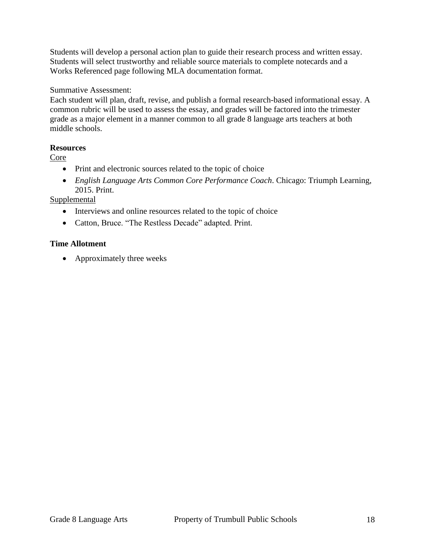Students will develop a personal action plan to guide their research process and written essay. Students will select trustworthy and reliable source materials to complete notecards and a Works Referenced page following MLA documentation format.

Summative Assessment:

Each student will plan, draft, revise, and publish a formal research-based informational essay. A common rubric will be used to assess the essay, and grades will be factored into the trimester grade as a major element in a manner common to all grade 8 language arts teachers at both middle schools.

#### **Resources**

Core

- Print and electronic sources related to the topic of choice
- *English Language Arts Common Core Performance Coach*. Chicago: Triumph Learning, 2015. Print.

## **Supplemental**

- Interviews and online resources related to the topic of choice
- Catton, Bruce. "The Restless Decade" adapted. Print.

#### **Time Allotment**

• Approximately three weeks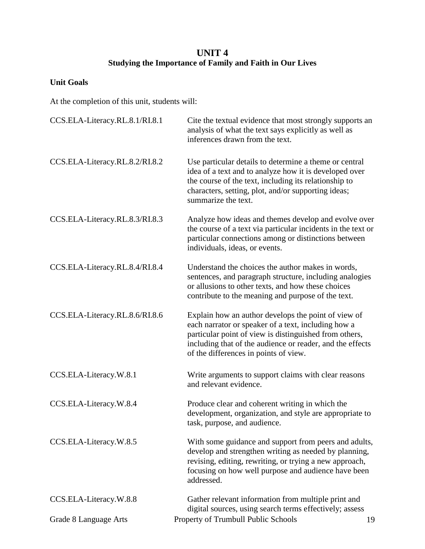## **UNIT 4 Studying the Importance of Family and Faith in Our Lives**

## **Unit Goals**

| CCS.ELA-Literacy.RL.8.1/RI.8.1 | Cite the textual evidence that most strongly supports an<br>analysis of what the text says explicitly as well as<br>inferences drawn from the text.                                                                                                                        |  |  |
|--------------------------------|----------------------------------------------------------------------------------------------------------------------------------------------------------------------------------------------------------------------------------------------------------------------------|--|--|
| CCS.ELA-Literacy.RL.8.2/RI.8.2 | Use particular details to determine a theme or central<br>idea of a text and to analyze how it is developed over<br>the course of the text, including its relationship to<br>characters, setting, plot, and/or supporting ideas;<br>summarize the text.                    |  |  |
| CCS.ELA-Literacy.RL.8.3/RI.8.3 | Analyze how ideas and themes develop and evolve over<br>the course of a text via particular incidents in the text or<br>particular connections among or distinctions between<br>individuals, ideas, or events.                                                             |  |  |
| CCS.ELA-Literacy.RL.8.4/RI.8.4 | Understand the choices the author makes in words,<br>sentences, and paragraph structure, including analogies<br>or allusions to other texts, and how these choices<br>contribute to the meaning and purpose of the text.                                                   |  |  |
| CCS.ELA-Literacy.RL.8.6/RI.8.6 | Explain how an author develops the point of view of<br>each narrator or speaker of a text, including how a<br>particular point of view is distinguished from others,<br>including that of the audience or reader, and the effects<br>of the differences in points of view. |  |  |
| CCS.ELA-Literacy.W.8.1         | Write arguments to support claims with clear reasons<br>and relevant evidence.                                                                                                                                                                                             |  |  |
| CCS.ELA-Literacy.W.8.4         | Produce clear and coherent writing in which the<br>development, organization, and style are appropriate to<br>task, purpose, and audience.                                                                                                                                 |  |  |
| CCS.ELA-Literacy.W.8.5         | With some guidance and support from peers and adults,<br>develop and strengthen writing as needed by planning,<br>revising, editing, rewriting, or trying a new approach,<br>focusing on how well purpose and audience have been<br>addressed.                             |  |  |
| CCS.ELA-Literacy.W.8.8         | Gather relevant information from multiple print and<br>digital sources, using search terms effectively; assess                                                                                                                                                             |  |  |
| Grade 8 Language Arts          | Property of Trumbull Public Schools<br>19                                                                                                                                                                                                                                  |  |  |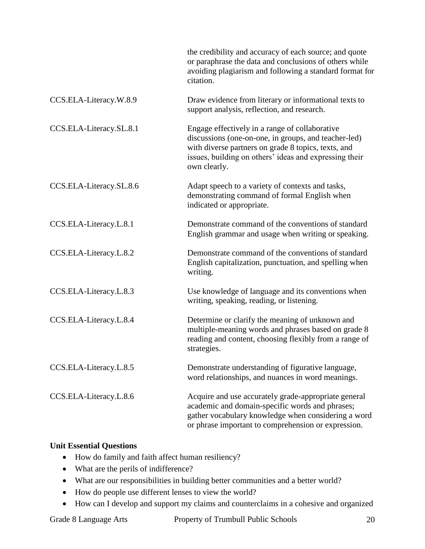|                         | the credibility and accuracy of each source; and quote<br>or paraphrase the data and conclusions of others while<br>avoiding plagiarism and following a standard format for<br>citation.                                                |
|-------------------------|-----------------------------------------------------------------------------------------------------------------------------------------------------------------------------------------------------------------------------------------|
| CCS.ELA-Literacy.W.8.9  | Draw evidence from literary or informational texts to<br>support analysis, reflection, and research.                                                                                                                                    |
| CCS.ELA-Literacy.SL.8.1 | Engage effectively in a range of collaborative<br>discussions (one-on-one, in groups, and teacher-led)<br>with diverse partners on grade 8 topics, texts, and<br>issues, building on others' ideas and expressing their<br>own clearly. |
| CCS.ELA-Literacy.SL.8.6 | Adapt speech to a variety of contexts and tasks,<br>demonstrating command of formal English when<br>indicated or appropriate.                                                                                                           |
| CCS.ELA-Literacy.L.8.1  | Demonstrate command of the conventions of standard<br>English grammar and usage when writing or speaking.                                                                                                                               |
| CCS.ELA-Literacy.L.8.2  | Demonstrate command of the conventions of standard<br>English capitalization, punctuation, and spelling when<br>writing.                                                                                                                |
| CCS.ELA-Literacy.L.8.3  | Use knowledge of language and its conventions when<br>writing, speaking, reading, or listening.                                                                                                                                         |
| CCS.ELA-Literacy.L.8.4  | Determine or clarify the meaning of unknown and<br>multiple-meaning words and phrases based on grade 8<br>reading and content, choosing flexibly from a range of<br>strategies.                                                         |
| CCS.ELA-Literacy.L.8.5  | Demonstrate understanding of figurative language,<br>word relationships, and nuances in word meanings.                                                                                                                                  |
| CCS.ELA-Literacy.L.8.6  | Acquire and use accurately grade-appropriate general<br>academic and domain-specific words and phrases;<br>gather vocabulary knowledge when considering a word<br>or phrase important to comprehension or expression.                   |

## **Unit Essential Questions**

- How do family and faith affect human resiliency?
- What are the perils of indifference?
- What are our responsibilities in building better communities and a better world?
- How do people use different lenses to view the world?
- How can I develop and support my claims and counterclaims in a cohesive and organized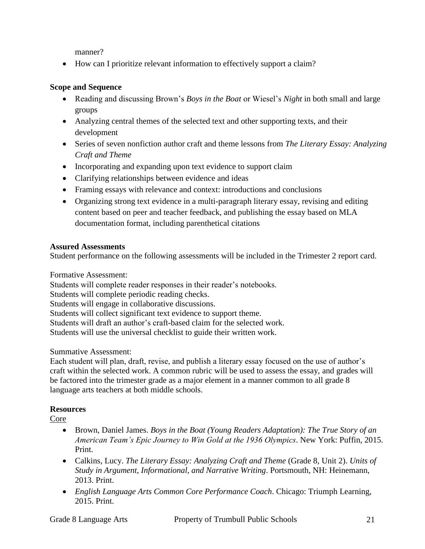manner?

• How can I prioritize relevant information to effectively support a claim?

## **Scope and Sequence**

- Reading and discussing Brown's *Boys in the Boat* or Wiesel's *Night* in both small and large groups
- Analyzing central themes of the selected text and other supporting texts, and their development
- Series of seven nonfiction author craft and theme lessons from *The Literary Essay: Analyzing Craft and Theme*
- Incorporating and expanding upon text evidence to support claim
- Clarifying relationships between evidence and ideas
- Framing essays with relevance and context: introductions and conclusions
- Organizing strong text evidence in a multi-paragraph literary essay, revising and editing content based on peer and teacher feedback, and publishing the essay based on MLA documentation format, including parenthetical citations

## **Assured Assessments**

Student performance on the following assessments will be included in the Trimester 2 report card.

Formative Assessment:

Students will complete reader responses in their reader's notebooks.

Students will complete periodic reading checks.

Students will engage in collaborative discussions.

Students will collect significant text evidence to support theme.

Students will draft an author's craft-based claim for the selected work.

Students will use the universal checklist to guide their written work.

Summative Assessment:

Each student will plan, draft, revise, and publish a literary essay focused on the use of author's craft within the selected work. A common rubric will be used to assess the essay, and grades will be factored into the trimester grade as a major element in a manner common to all grade 8 language arts teachers at both middle schools.

## **Resources**

Core

- Brown, Daniel James. *Boys in the Boat (Young Readers Adaptation): The True Story of an American Team's Epic Journey to Win Gold at the 1936 Olympics*. New York: Puffin, 2015. Print.
- Calkins, Lucy. *The Literary Essay: Analyzing Craft and Theme* (Grade 8, Unit 2). *Units of Study in Argument, Informational, and Narrative Writing*. Portsmouth, NH: Heinemann, 2013. Print.
- *English Language Arts Common Core Performance Coach*. Chicago: Triumph Learning, 2015. Print.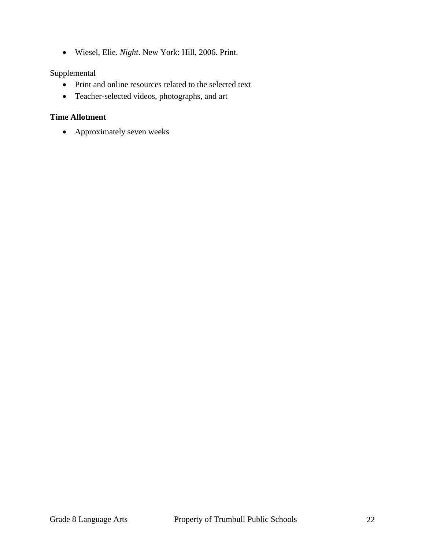Wiesel, Elie. *Night*. New York: Hill, 2006. Print.

## **Supplemental**

- Print and online resources related to the selected text
- Teacher-selected videos, photographs, and art

#### **Time Allotment**

Approximately seven weeks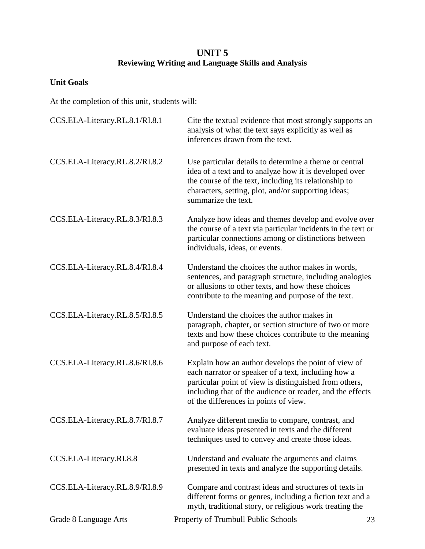## **UNIT 5 Reviewing Writing and Language Skills and Analysis**

## **Unit Goals**

| CCS.ELA-Literacy.RL.8.1/RI.8.1 | Cite the textual evidence that most strongly supports an<br>analysis of what the text says explicitly as well as<br>inferences drawn from the text.                                                                                                                        |    |  |
|--------------------------------|----------------------------------------------------------------------------------------------------------------------------------------------------------------------------------------------------------------------------------------------------------------------------|----|--|
| CCS.ELA-Literacy.RL.8.2/RI.8.2 | Use particular details to determine a theme or central<br>idea of a text and to analyze how it is developed over<br>the course of the text, including its relationship to<br>characters, setting, plot, and/or supporting ideas;<br>summarize the text.                    |    |  |
| CCS.ELA-Literacy.RL.8.3/RI.8.3 | Analyze how ideas and themes develop and evolve over<br>the course of a text via particular incidents in the text or<br>particular connections among or distinctions between<br>individuals, ideas, or events.                                                             |    |  |
| CCS.ELA-Literacy.RL.8.4/RI.8.4 | Understand the choices the author makes in words,<br>sentences, and paragraph structure, including analogies<br>or allusions to other texts, and how these choices<br>contribute to the meaning and purpose of the text.                                                   |    |  |
| CCS.ELA-Literacy.RL.8.5/RI.8.5 | Understand the choices the author makes in<br>paragraph, chapter, or section structure of two or more<br>texts and how these choices contribute to the meaning<br>and purpose of each text.                                                                                |    |  |
| CCS.ELA-Literacy.RL.8.6/RI.8.6 | Explain how an author develops the point of view of<br>each narrator or speaker of a text, including how a<br>particular point of view is distinguished from others,<br>including that of the audience or reader, and the effects<br>of the differences in points of view. |    |  |
| CCS.ELA-Literacy.RL.8.7/RI.8.7 | Analyze different media to compare, contrast, and<br>evaluate ideas presented in texts and the different<br>techniques used to convey and create those ideas.                                                                                                              |    |  |
| CCS.ELA-Literacy.RI.8.8        | Understand and evaluate the arguments and claims<br>presented in texts and analyze the supporting details.                                                                                                                                                                 |    |  |
| CCS.ELA-Literacy.RL.8.9/RI.8.9 | Compare and contrast ideas and structures of texts in<br>different forms or genres, including a fiction text and a<br>myth, traditional story, or religious work treating the                                                                                              |    |  |
| Grade 8 Language Arts          | Property of Trumbull Public Schools                                                                                                                                                                                                                                        | 23 |  |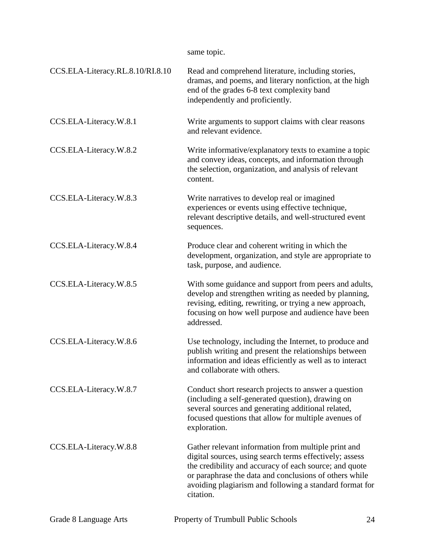|                                  | same topic.                                                                                                                                                                                                                                                                                                |
|----------------------------------|------------------------------------------------------------------------------------------------------------------------------------------------------------------------------------------------------------------------------------------------------------------------------------------------------------|
| CCS.ELA-Literacy.RL.8.10/RI.8.10 | Read and comprehend literature, including stories,<br>dramas, and poems, and literary nonfiction, at the high<br>end of the grades 6-8 text complexity band<br>independently and proficiently.                                                                                                             |
| CCS.ELA-Literacy.W.8.1           | Write arguments to support claims with clear reasons<br>and relevant evidence.                                                                                                                                                                                                                             |
| CCS.ELA-Literacy.W.8.2           | Write informative/explanatory texts to examine a topic<br>and convey ideas, concepts, and information through<br>the selection, organization, and analysis of relevant<br>content.                                                                                                                         |
| CCS.ELA-Literacy.W.8.3           | Write narratives to develop real or imagined<br>experiences or events using effective technique,<br>relevant descriptive details, and well-structured event<br>sequences.                                                                                                                                  |
| CCS.ELA-Literacy.W.8.4           | Produce clear and coherent writing in which the<br>development, organization, and style are appropriate to<br>task, purpose, and audience.                                                                                                                                                                 |
| CCS.ELA-Literacy.W.8.5           | With some guidance and support from peers and adults,<br>develop and strengthen writing as needed by planning,<br>revising, editing, rewriting, or trying a new approach,<br>focusing on how well purpose and audience have been<br>addressed.                                                             |
| CCS.ELA-Literacy.W.8.6           | Use technology, including the Internet, to produce and<br>publish writing and present the relationships between<br>information and ideas efficiently as well as to interact<br>and collaborate with others.                                                                                                |
| CCS.ELA-Literacy.W.8.7           | Conduct short research projects to answer a question<br>(including a self-generated question), drawing on<br>several sources and generating additional related,<br>focused questions that allow for multiple avenues of<br>exploration.                                                                    |
| CCS.ELA-Literacy.W.8.8           | Gather relevant information from multiple print and<br>digital sources, using search terms effectively; assess<br>the credibility and accuracy of each source; and quote<br>or paraphrase the data and conclusions of others while<br>avoiding plagiarism and following a standard format for<br>citation. |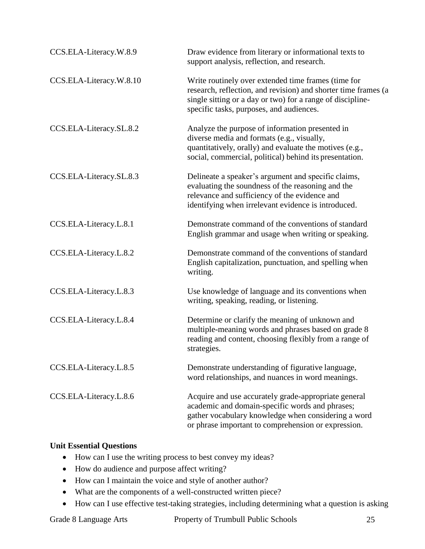| CCS.ELA-Literacy.W.8.9  | Draw evidence from literary or informational texts to<br>support analysis, reflection, and research.                                                                                                                            |  |
|-------------------------|---------------------------------------------------------------------------------------------------------------------------------------------------------------------------------------------------------------------------------|--|
| CCS.ELA-Literacy.W.8.10 | Write routinely over extended time frames (time for<br>research, reflection, and revision) and shorter time frames (a<br>single sitting or a day or two) for a range of discipline-<br>specific tasks, purposes, and audiences. |  |
| CCS.ELA-Literacy.SL.8.2 | Analyze the purpose of information presented in<br>diverse media and formats (e.g., visually,<br>quantitatively, orally) and evaluate the motives (e.g.,<br>social, commercial, political) behind its presentation.             |  |
| CCS.ELA-Literacy.SL.8.3 | Delineate a speaker's argument and specific claims,<br>evaluating the soundness of the reasoning and the<br>relevance and sufficiency of the evidence and<br>identifying when irrelevant evidence is introduced.                |  |
| CCS.ELA-Literacy.L.8.1  | Demonstrate command of the conventions of standard<br>English grammar and usage when writing or speaking.                                                                                                                       |  |
| CCS.ELA-Literacy.L.8.2  | Demonstrate command of the conventions of standard<br>English capitalization, punctuation, and spelling when<br>writing.                                                                                                        |  |
| CCS.ELA-Literacy.L.8.3  | Use knowledge of language and its conventions when<br>writing, speaking, reading, or listening.                                                                                                                                 |  |
| CCS.ELA-Literacy.L.8.4  | Determine or clarify the meaning of unknown and<br>multiple-meaning words and phrases based on grade 8<br>reading and content, choosing flexibly from a range of<br>strategies.                                                 |  |
| CCS.ELA-Literacy.L.8.5  | Demonstrate understanding of figurative language,<br>word relationships, and nuances in word meanings.                                                                                                                          |  |
| CCS.ELA-Literacy.L.8.6  | Acquire and use accurately grade-appropriate general<br>academic and domain-specific words and phrases;<br>gather vocabulary knowledge when considering a word<br>or phrase important to comprehension or expression.           |  |

## **Unit Essential Questions**

- How can I use the writing process to best convey my ideas?
- How do audience and purpose affect writing?
- How can I maintain the voice and style of another author?
- What are the components of a well-constructed written piece?
- How can I use effective test-taking strategies, including determining what a question is asking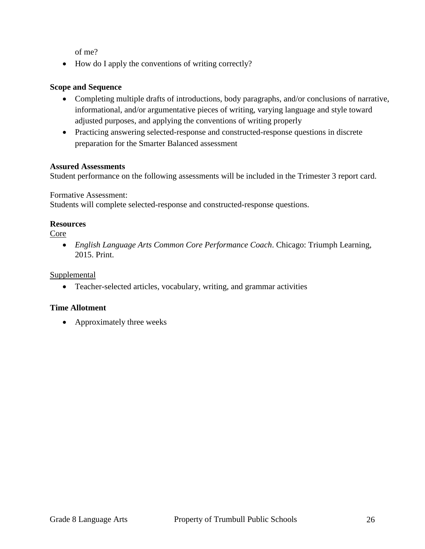of me?

• How do I apply the conventions of writing correctly?

## **Scope and Sequence**

- Completing multiple drafts of introductions, body paragraphs, and/or conclusions of narrative, informational, and/or argumentative pieces of writing, varying language and style toward adjusted purposes, and applying the conventions of writing properly
- Practicing answering selected-response and constructed-response questions in discrete preparation for the Smarter Balanced assessment

#### **Assured Assessments**

Student performance on the following assessments will be included in the Trimester 3 report card.

Formative Assessment:

Students will complete selected-response and constructed-response questions.

#### **Resources**

Core

 *English Language Arts Common Core Performance Coach*. Chicago: Triumph Learning, 2015. Print.

Supplemental

Teacher-selected articles, vocabulary, writing, and grammar activities

## **Time Allotment**

• Approximately three weeks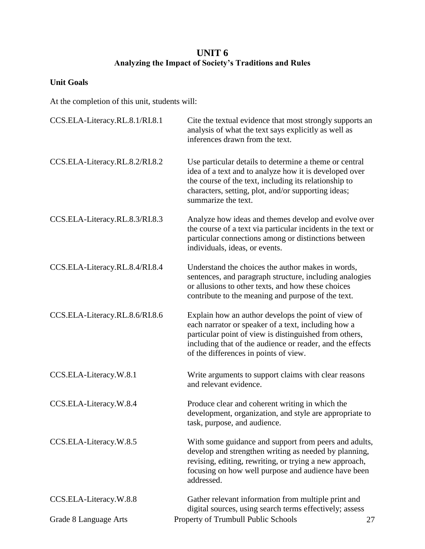## **UNIT 6 Analyzing the Impact of Society's Traditions and Rules**

## **Unit Goals**

| CCS.ELA-Literacy.RL.8.1/RI.8.1 | Cite the textual evidence that most strongly supports an<br>analysis of what the text says explicitly as well as<br>inferences drawn from the text.                                                                                                                        |  |
|--------------------------------|----------------------------------------------------------------------------------------------------------------------------------------------------------------------------------------------------------------------------------------------------------------------------|--|
| CCS.ELA-Literacy.RL.8.2/RI.8.2 | Use particular details to determine a theme or central<br>idea of a text and to analyze how it is developed over<br>the course of the text, including its relationship to<br>characters, setting, plot, and/or supporting ideas;<br>summarize the text.                    |  |
| CCS.ELA-Literacy.RL.8.3/RI.8.3 | Analyze how ideas and themes develop and evolve over<br>the course of a text via particular incidents in the text or<br>particular connections among or distinctions between<br>individuals, ideas, or events.                                                             |  |
| CCS.ELA-Literacy.RL.8.4/RI.8.4 | Understand the choices the author makes in words,<br>sentences, and paragraph structure, including analogies<br>or allusions to other texts, and how these choices<br>contribute to the meaning and purpose of the text.                                                   |  |
| CCS.ELA-Literacy.RL.8.6/RI.8.6 | Explain how an author develops the point of view of<br>each narrator or speaker of a text, including how a<br>particular point of view is distinguished from others,<br>including that of the audience or reader, and the effects<br>of the differences in points of view. |  |
| CCS.ELA-Literacy.W.8.1         | Write arguments to support claims with clear reasons<br>and relevant evidence.                                                                                                                                                                                             |  |
| CCS.ELA-Literacy.W.8.4         | Produce clear and coherent writing in which the<br>development, organization, and style are appropriate to<br>task, purpose, and audience.                                                                                                                                 |  |
| CCS.ELA-Literacy.W.8.5         | With some guidance and support from peers and adults,<br>develop and strengthen writing as needed by planning,<br>revising, editing, rewriting, or trying a new approach,<br>focusing on how well purpose and audience have been<br>addressed.                             |  |
| CCS.ELA-Literacy.W.8.8         | Gather relevant information from multiple print and<br>digital sources, using search terms effectively; assess                                                                                                                                                             |  |
| Grade 8 Language Arts          | Property of Trumbull Public Schools<br>27                                                                                                                                                                                                                                  |  |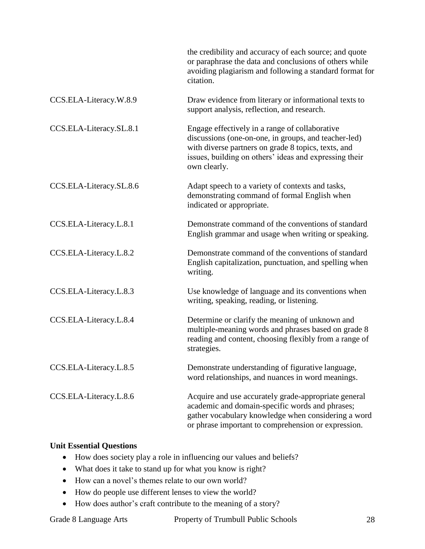|                         | the credibility and accuracy of each source; and quote<br>or paraphrase the data and conclusions of others while<br>avoiding plagiarism and following a standard format for<br>citation.                                                |
|-------------------------|-----------------------------------------------------------------------------------------------------------------------------------------------------------------------------------------------------------------------------------------|
| CCS.ELA-Literacy.W.8.9  | Draw evidence from literary or informational texts to<br>support analysis, reflection, and research.                                                                                                                                    |
| CCS.ELA-Literacy.SL.8.1 | Engage effectively in a range of collaborative<br>discussions (one-on-one, in groups, and teacher-led)<br>with diverse partners on grade 8 topics, texts, and<br>issues, building on others' ideas and expressing their<br>own clearly. |
| CCS.ELA-Literacy.SL.8.6 | Adapt speech to a variety of contexts and tasks,<br>demonstrating command of formal English when<br>indicated or appropriate.                                                                                                           |
| CCS.ELA-Literacy.L.8.1  | Demonstrate command of the conventions of standard<br>English grammar and usage when writing or speaking.                                                                                                                               |
| CCS.ELA-Literacy.L.8.2  | Demonstrate command of the conventions of standard<br>English capitalization, punctuation, and spelling when<br>writing.                                                                                                                |
| CCS.ELA-Literacy.L.8.3  | Use knowledge of language and its conventions when<br>writing, speaking, reading, or listening.                                                                                                                                         |
| CCS.ELA-Literacy.L.8.4  | Determine or clarify the meaning of unknown and<br>multiple-meaning words and phrases based on grade 8<br>reading and content, choosing flexibly from a range of<br>strategies.                                                         |
| CCS.ELA-Literacy.L.8.5  | Demonstrate understanding of figurative language,<br>word relationships, and nuances in word meanings.                                                                                                                                  |
| CCS.ELA-Literacy.L.8.6  | Acquire and use accurately grade-appropriate general<br>academic and domain-specific words and phrases;<br>gather vocabulary knowledge when considering a word<br>or phrase important to comprehension or expression.                   |

## **Unit Essential Questions**

- How does society play a role in influencing our values and beliefs?
- What does it take to stand up for what you know is right?
- How can a novel's themes relate to our own world?
- How do people use different lenses to view the world?
- How does author's craft contribute to the meaning of a story?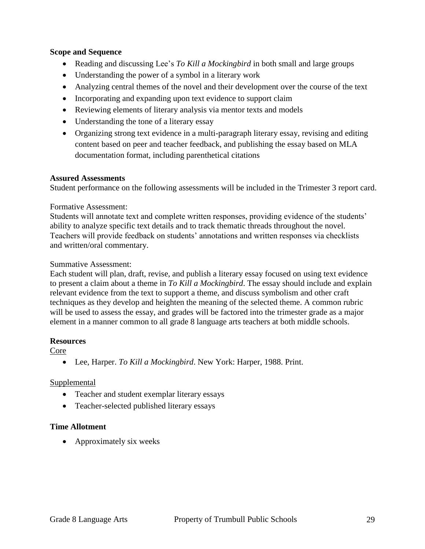#### **Scope and Sequence**

- Reading and discussing Lee's *To Kill a Mockingbird* in both small and large groups
- Understanding the power of a symbol in a literary work
- Analyzing central themes of the novel and their development over the course of the text
- Incorporating and expanding upon text evidence to support claim
- Reviewing elements of literary analysis via mentor texts and models
- Understanding the tone of a literary essay
- Organizing strong text evidence in a multi-paragraph literary essay, revising and editing content based on peer and teacher feedback, and publishing the essay based on MLA documentation format, including parenthetical citations

#### **Assured Assessments**

Student performance on the following assessments will be included in the Trimester 3 report card.

#### Formative Assessment:

Students will annotate text and complete written responses, providing evidence of the students' ability to analyze specific text details and to track thematic threads throughout the novel. Teachers will provide feedback on students' annotations and written responses via checklists and written/oral commentary.

#### Summative Assessment:

Each student will plan, draft, revise, and publish a literary essay focused on using text evidence to present a claim about a theme in *To Kill a Mockingbird*. The essay should include and explain relevant evidence from the text to support a theme, and discuss symbolism and other craft techniques as they develop and heighten the meaning of the selected theme. A common rubric will be used to assess the essay, and grades will be factored into the trimester grade as a major element in a manner common to all grade 8 language arts teachers at both middle schools.

#### **Resources**

Core

Lee, Harper. *To Kill a Mockingbird*. New York: Harper, 1988. Print.

#### Supplemental

- Teacher and student exemplar literary essays
- Teacher-selected published literary essays

#### **Time Allotment**

• Approximately six weeks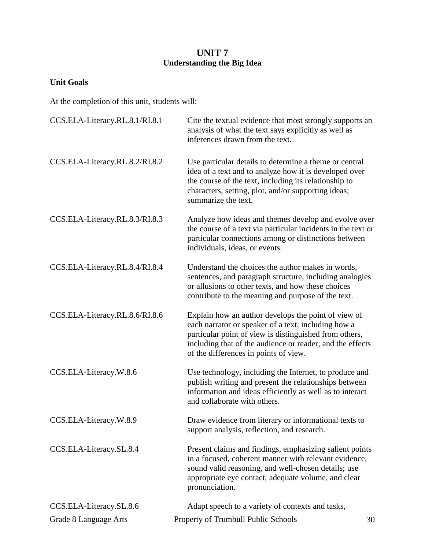## **UNIT 7 Understanding the Big Idea**

## **Unit Goals**

| CCS.ELA-Literacy.RL.8.1/RI.8.1 | Cite the textual evidence that most strongly supports an<br>analysis of what the text says explicitly as well as<br>inferences drawn from the text.                                                                                                                        |  |  |
|--------------------------------|----------------------------------------------------------------------------------------------------------------------------------------------------------------------------------------------------------------------------------------------------------------------------|--|--|
| CCS.ELA-Literacy.RL.8.2/RI.8.2 | Use particular details to determine a theme or central<br>idea of a text and to analyze how it is developed over<br>the course of the text, including its relationship to<br>characters, setting, plot, and/or supporting ideas;<br>summarize the text.                    |  |  |
| CCS.ELA-Literacy.RL.8.3/RI.8.3 | Analyze how ideas and themes develop and evolve over<br>the course of a text via particular incidents in the text or<br>particular connections among or distinctions between<br>individuals, ideas, or events.                                                             |  |  |
| CCS.ELA-Literacy.RL.8.4/RI.8.4 | Understand the choices the author makes in words,<br>sentences, and paragraph structure, including analogies<br>or allusions to other texts, and how these choices<br>contribute to the meaning and purpose of the text.                                                   |  |  |
| CCS.ELA-Literacy.RL.8.6/RI.8.6 | Explain how an author develops the point of view of<br>each narrator or speaker of a text, including how a<br>particular point of view is distinguished from others,<br>including that of the audience or reader, and the effects<br>of the differences in points of view. |  |  |
| CCS.ELA-Literacy.W.8.6         | Use technology, including the Internet, to produce and<br>publish writing and present the relationships between<br>information and ideas efficiently as well as to interact<br>and collaborate with others.                                                                |  |  |
| CCS.ELA-Literacy.W.8.9         | Draw evidence from literary or informational texts to<br>support analysis, reflection, and research.                                                                                                                                                                       |  |  |
| CCS.ELA-Literacy.SL.8.4        | Present claims and findings, emphasizing salient points<br>in a focused, coherent manner with relevant evidence,<br>sound valid reasoning, and well-chosen details; use<br>appropriate eye contact, adequate volume, and clear<br>pronunciation.                           |  |  |
| CCS.ELA-Literacy.SL.8.6        | Adapt speech to a variety of contexts and tasks,                                                                                                                                                                                                                           |  |  |
| Grade 8 Language Arts          | Property of Trumbull Public Schools<br>30                                                                                                                                                                                                                                  |  |  |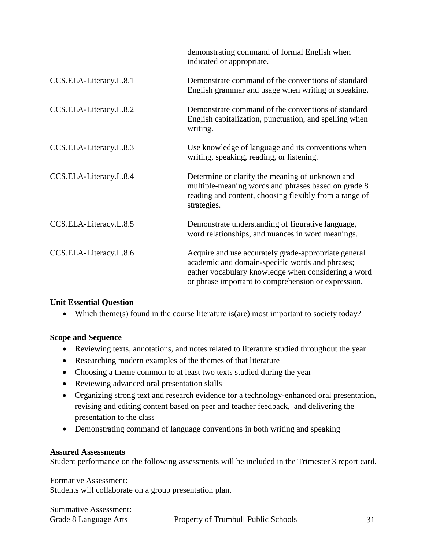|                        | demonstrating command of formal English when<br>indicated or appropriate.                                                                                                                                             |
|------------------------|-----------------------------------------------------------------------------------------------------------------------------------------------------------------------------------------------------------------------|
| CCS.ELA-Literacy.L.8.1 | Demonstrate command of the conventions of standard<br>English grammar and usage when writing or speaking.                                                                                                             |
| CCS.ELA-Literacy.L.8.2 | Demonstrate command of the conventions of standard<br>English capitalization, punctuation, and spelling when<br>writing.                                                                                              |
| CCS.ELA-Literacy.L.8.3 | Use knowledge of language and its conventions when<br>writing, speaking, reading, or listening.                                                                                                                       |
| CCS.ELA-Literacy.L.8.4 | Determine or clarify the meaning of unknown and<br>multiple-meaning words and phrases based on grade 8<br>reading and content, choosing flexibly from a range of<br>strategies.                                       |
| CCS.ELA-Literacy.L.8.5 | Demonstrate understanding of figurative language,<br>word relationships, and nuances in word meanings.                                                                                                                |
| CCS.ELA-Literacy.L.8.6 | Acquire and use accurately grade-appropriate general<br>academic and domain-specific words and phrases;<br>gather vocabulary knowledge when considering a word<br>or phrase important to comprehension or expression. |

## **Unit Essential Question**

Which theme(s) found in the course literature is(are) most important to society today?

## **Scope and Sequence**

- Reviewing texts, annotations, and notes related to literature studied throughout the year
- Researching modern examples of the themes of that literature
- Choosing a theme common to at least two texts studied during the year
- Reviewing advanced oral presentation skills
- Organizing strong text and research evidence for a technology-enhanced oral presentation, revising and editing content based on peer and teacher feedback, and delivering the presentation to the class
- Demonstrating command of language conventions in both writing and speaking

## **Assured Assessments**

Student performance on the following assessments will be included in the Trimester 3 report card.

Formative Assessment: Students will collaborate on a group presentation plan.

| <b>Summative Assessment:</b> |                 |
|------------------------------|-----------------|
| Grade 8 Language Arts        | Property of Tru |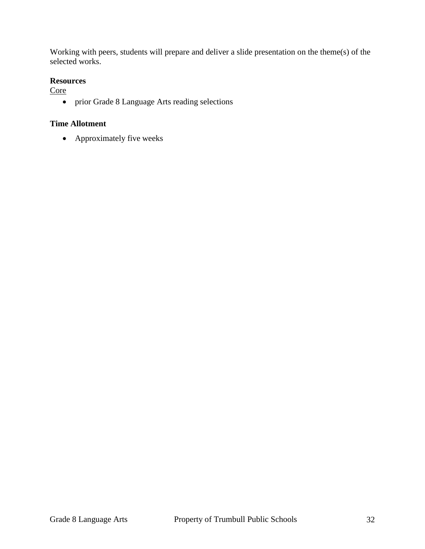Working with peers, students will prepare and deliver a slide presentation on the theme(s) of the selected works.

#### **Resources**

**Core** 

prior Grade 8 Language Arts reading selections

## **Time Allotment**

• Approximately five weeks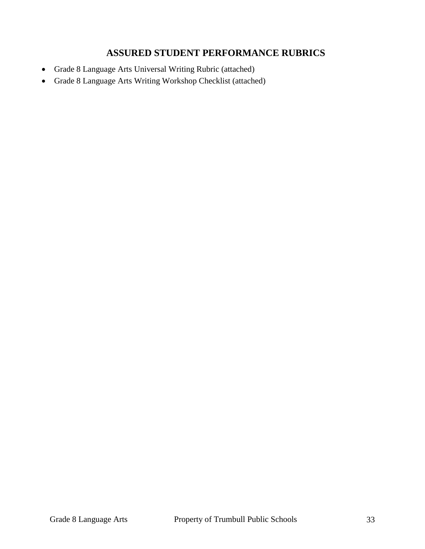## **ASSURED STUDENT PERFORMANCE RUBRICS**

- Grade 8 Language Arts Universal Writing Rubric (attached)
- Grade 8 Language Arts Writing Workshop Checklist (attached)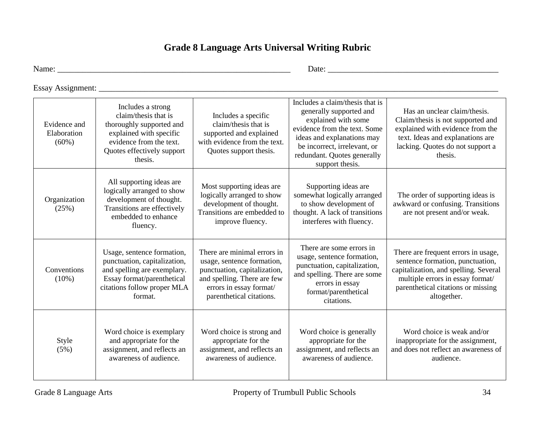## **Grade 8 Language Arts Universal Writing Rubric**

Name: \_\_\_\_\_\_\_\_\_\_\_\_\_\_\_\_\_\_\_\_\_\_\_\_\_\_\_\_\_\_\_\_\_\_\_\_\_\_\_\_\_\_\_\_\_\_\_\_\_\_\_\_\_\_\_\_ Date: \_\_\_\_\_\_\_\_\_\_\_\_\_\_\_\_\_\_\_\_\_\_\_\_\_\_\_\_\_\_\_\_\_\_\_\_\_\_\_\_\_

Essay Assignment:

| Evidence and<br>Elaboration<br>(60%) | Includes a strong<br>claim/thesis that is<br>thoroughly supported and<br>explained with specific<br>evidence from the text.<br>Quotes effectively support<br>thesis. | Includes a specific<br>claim/thesis that is<br>supported and explained<br>with evidence from the text.<br>Quotes support thesis.                                                | Includes a claim/thesis that is<br>generally supported and<br>explained with some<br>evidence from the text. Some<br>ideas and explanations may<br>be incorrect, irrelevant, or<br>redundant. Quotes generally<br>support thesis. | Has an unclear claim/thesis.<br>Claim/thesis is not supported and<br>explained with evidence from the<br>text. Ideas and explanations are<br>lacking. Quotes do not support a<br>thesis.                  |
|--------------------------------------|----------------------------------------------------------------------------------------------------------------------------------------------------------------------|---------------------------------------------------------------------------------------------------------------------------------------------------------------------------------|-----------------------------------------------------------------------------------------------------------------------------------------------------------------------------------------------------------------------------------|-----------------------------------------------------------------------------------------------------------------------------------------------------------------------------------------------------------|
| Organization<br>(25%)                | All supporting ideas are<br>logically arranged to show<br>development of thought.<br>Transitions are effectively<br>embedded to enhance<br>fluency.                  | Most supporting ideas are<br>logically arranged to show<br>development of thought.<br>Transitions are embedded to<br>improve fluency.                                           | Supporting ideas are<br>somewhat logically arranged<br>to show development of<br>thought. A lack of transitions<br>interferes with fluency.                                                                                       | The order of supporting ideas is<br>awkward or confusing. Transitions<br>are not present and/or weak.                                                                                                     |
| Conventions<br>$(10\%)$              | Usage, sentence formation,<br>punctuation, capitalization,<br>and spelling are exemplary.<br>Essay format/parenthetical<br>citations follow proper MLA<br>format.    | There are minimal errors in<br>usage, sentence formation,<br>punctuation, capitalization,<br>and spelling. There are few<br>errors in essay format/<br>parenthetical citations. | There are some errors in<br>usage, sentence formation,<br>punctuation, capitalization,<br>and spelling. There are some<br>errors in essay<br>format/parenthetical<br>citations.                                                   | There are frequent errors in usage,<br>sentence formation, punctuation,<br>capitalization, and spelling. Several<br>multiple errors in essay format/<br>parenthetical citations or missing<br>altogether. |
| Style<br>(5%)                        | Word choice is exemplary<br>and appropriate for the<br>assignment, and reflects an<br>awareness of audience.                                                         | Word choice is strong and<br>appropriate for the<br>assignment, and reflects an<br>awareness of audience.                                                                       | Word choice is generally<br>appropriate for the<br>assignment, and reflects an<br>awareness of audience.                                                                                                                          | Word choice is weak and/or<br>inappropriate for the assignment,<br>and does not reflect an awareness of<br>audience.                                                                                      |